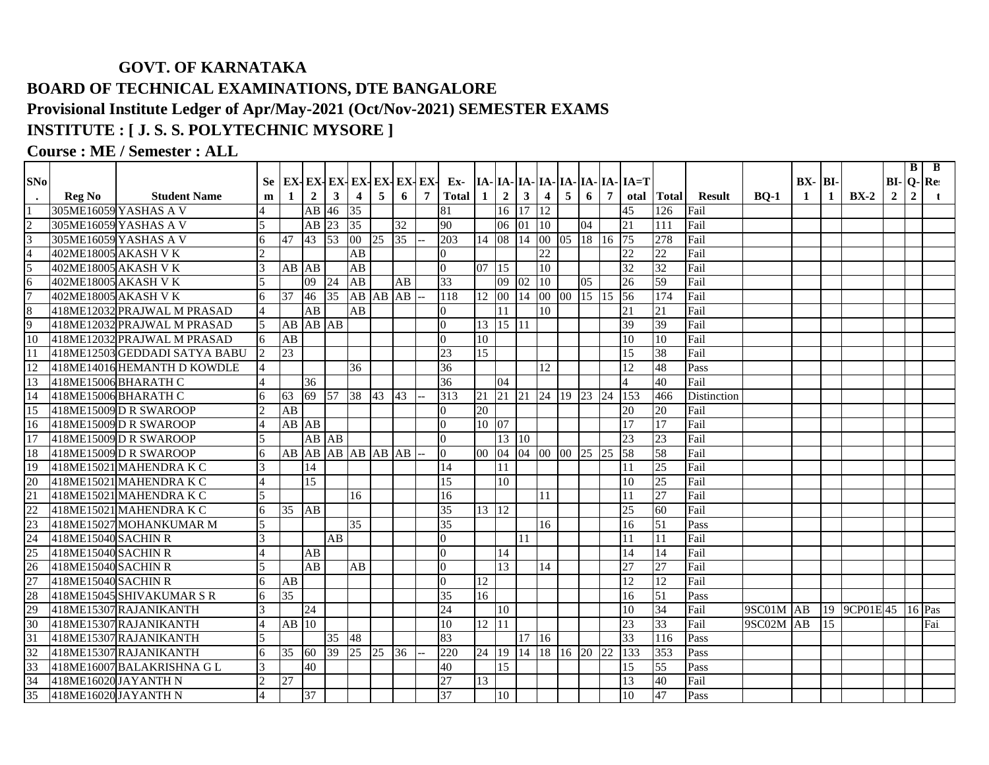## **GOVT. OF KARNATAKA BOARD OF TECHNICAL EXAMINATIONS, DTE BANGALORE Provisional Institute Ledger of Apr/May-2021 (Oct/Nov-2021) SEMESTER EXAMS INSTITUTE : [ J. S. S. POLYTECHNIC MYSORE ]**

## **Course : ME / Semester : ALL**

|                                                                                 |                      |                               |                |                    |                |             |                       |                 |                 |                |                 |         |                |                |                |                 |           |                   |                                             |                 |                    |             |             |    |                     |                | B              | B   |
|---------------------------------------------------------------------------------|----------------------|-------------------------------|----------------|--------------------|----------------|-------------|-----------------------|-----------------|-----------------|----------------|-----------------|---------|----------------|----------------|----------------|-----------------|-----------|-------------------|---------------------------------------------|-----------------|--------------------|-------------|-------------|----|---------------------|----------------|----------------|-----|
| SNo                                                                             |                      |                               | Se -           |                    |                |             | EX-EX-EX-EX-EX-EX-EX- |                 |                 |                |                 |         |                |                |                |                 |           |                   | Ex- $ IA- IA- IA- IA- IA- IA- IA- IA- TA=T$ |                 |                    |             | $BX - BI -$ |    |                     | $BI - Q - Re$  |                |     |
| $\bullet$                                                                       | <b>Reg No</b>        | <b>Student Name</b>           | m              | $\mathbf{1}$       | $\overline{2}$ | $3^{\circ}$ | $\overline{4}$        | 5               | 6               | $\overline{7}$ | <b>Total</b>    | -1      | $\overline{2}$ | $\mathbf{3}$   | 4 <sup>1</sup> | $5\overline{5}$ | 6         | $7^{\circ}$       |                                             | otal Total      | <b>Result</b>      | <b>BO-1</b> | -1          | 1  | $BX-2$              | $\overline{2}$ | $\overline{2}$ |     |
|                                                                                 |                      | 305ME16059 YASHAS A V         |                |                    | AB             | 46          | 35                    |                 |                 |                | 81              |         | 16             | 17             | 12             |                 |           |                   | 45                                          | 126             | Fail               |             |             |    |                     |                |                |     |
| $\frac{1}{2}$ $\frac{1}{4}$                                                     |                      | 305ME16059 YASHAS A V         | 5              |                    |                | AB 23 35    |                       |                 | $\overline{32}$ |                | 90              |         | 06             | $01\sqrt{10}$  |                |                 | 04        |                   | 21                                          | 111             | Fail               |             |             |    |                     |                |                |     |
|                                                                                 |                      | 305ME16059 YASHAS A V         | 6              | 47                 | 43             | $\vert$ 53  | $ 00\rangle$          | $\overline{25}$ | 35              |                | 203             | 14 08   |                | 14             | 00 05          |                 |           | 18 16 75          |                                             | 278             | Fail               |             |             |    |                     |                |                |     |
|                                                                                 | 402ME18005 AKASH V K |                               | $\mathfrak{D}$ |                    |                |             | AB                    |                 |                 |                | $\overline{0}$  |         |                |                | 22             |                 |           |                   | $\overline{22}$                             | 22              | Fail               |             |             |    |                     |                |                |     |
| $rac{5}{6}$                                                                     | 402ME18005 AKASH V K |                               | 3              | AB AB              |                |             | AB                    |                 |                 |                | $\Omega$        | 07 15   |                |                | 10             |                 |           |                   | 32                                          | 32              | Fail               |             |             |    |                     |                |                |     |
|                                                                                 | 402ME18005 AKASH V K |                               |                |                    | 09             | 24          | AB                    |                 | AB              |                | 33              |         | 09             | 02             | 10             |                 | 05        |                   | $\overline{26}$                             | 59              | Fail               |             |             |    |                     |                |                |     |
| $\overline{7}$                                                                  | 402ME18005 AKASH V K |                               | 6              | 37                 | 46             | 35          | AB AB AB              |                 |                 |                | 118             | 12 00   |                |                |                |                 |           | 14 00 00 15 15 56 |                                             | 174             | Fail               |             |             |    |                     |                |                |     |
| $\overline{8}$                                                                  |                      | 418ME12032 PRAJWAL M PRASAD   |                |                    | AB             |             | AB                    |                 |                 |                | $\Omega$        |         | 11             |                | 10             |                 |           |                   | 21                                          | 21              | Fail               |             |             |    |                     |                |                |     |
| 9                                                                               |                      | 418ME12032 PRAJWAL M PRASAD   | $\overline{5}$ |                    | AB AB AB       |             |                       |                 |                 |                | $\Omega$        |         | 13 15 11       |                |                |                 |           |                   | 39                                          | 39              | Fail               |             |             |    |                     |                |                |     |
| 10                                                                              |                      | 418ME12032 PRAJWAL M PRASAD   | 6              | AB                 |                |             |                       |                 |                 |                | $\Omega$        | 10      |                |                |                |                 |           |                   | 10                                          | 10              | Fail               |             |             |    |                     |                |                |     |
| $\overline{11}$                                                                 |                      | 418ME12503 GEDDADI SATYA BABU | $\overline{2}$ | $\overline{23}$    |                |             |                       |                 |                 |                | 23              | 15      |                |                |                |                 |           |                   | 15                                          | 38              | Fail               |             |             |    |                     |                |                |     |
| 12                                                                              |                      | 418ME14016 HEMANTH D KOWDLE   | 4              |                    |                |             | 36                    |                 |                 |                | 36              |         |                |                | 12             |                 |           |                   | 12                                          | 48              | Pass               |             |             |    |                     |                |                |     |
| 13                                                                              |                      | 418ME15006BHARATH C           |                |                    | 36             |             |                       |                 |                 |                | 36              |         | 04             |                |                |                 |           |                   |                                             | 40              | Fail               |             |             |    |                     |                |                |     |
| 14                                                                              |                      | 418ME15006BHARATH C           |                | 63                 | 69             |             | 57 38 43              |                 | 43              |                | 313             | 21      | 21             | 21 24 19 23 24 |                |                 |           |                   | <sup>153</sup>                              | 466             | <b>Distinction</b> |             |             |    |                     |                |                |     |
| 15                                                                              |                      | 418ME15009D R SWAROOP         |                | AB                 |                |             |                       |                 |                 |                | $\Omega$        | 20      |                |                |                |                 |           |                   | 20                                          | 20              | Fail               |             |             |    |                     |                |                |     |
| 16                                                                              |                      | 418ME15009 D R SWAROOP        |                |                    | AB AB          |             |                       |                 |                 |                | $\Omega$        | 10 07   |                |                |                |                 |           |                   | 17                                          | 17              | Fail               |             |             |    |                     |                |                |     |
| 17                                                                              |                      | 418ME15009DRSWAROOP           |                |                    | AB AB          |             |                       |                 |                 |                | $\Omega$        |         | $13 \,   10$   |                |                |                 |           |                   | 23                                          | 23              | Fail               |             |             |    |                     |                |                |     |
| 18                                                                              |                      | 418ME15009D R SWAROOP         | 6              | AB                 | AB             |             | AB AB AB AB           |                 |                 |                | $\Omega$        | 00 04   |                | 04 00          |                | $00\,$          | <b>25</b> | 125               | $\overline{58}$                             | 58              | Fail               |             |             |    |                     |                |                |     |
| 19                                                                              |                      | 418ME15021 MAHENDRA K C       |                |                    | 14             |             |                       |                 |                 |                | 14              |         | 11             |                |                |                 |           |                   | 11                                          | 25              | Fail               |             |             |    |                     |                |                |     |
| $\frac{20}{21}$ $\frac{22}{23}$ $\frac{24}{25}$ $\frac{26}{27}$ $\frac{27}{28}$ |                      | 418ME15021 MAHENDRA K C       |                |                    | 15             |             |                       |                 |                 |                | 15              |         | 10             |                |                |                 |           |                   | 10                                          | $\overline{25}$ | Fail               |             |             |    |                     |                |                |     |
|                                                                                 |                      | 418ME15021 MAHENDRA K C       | $\overline{5}$ |                    |                |             | 16                    |                 |                 |                | 16              |         |                |                | 11             |                 |           |                   | 11                                          | 27              | Fail               |             |             |    |                     |                |                |     |
|                                                                                 |                      | 418ME15021 MAHENDRA K C       | 6              | 35                 | AB             |             |                       |                 |                 |                | 35              | 13 12   |                |                |                |                 |           |                   | 25                                          | 60              | Fail               |             |             |    |                     |                |                |     |
|                                                                                 |                      | 418ME15027 MOHANKUMAR M       | 5              |                    |                |             | $\overline{35}$       |                 |                 |                | $\overline{35}$ |         |                |                | 16             |                 |           |                   | 16                                          | 51              | Pass               |             |             |    |                     |                |                |     |
|                                                                                 | 418ME15040 SACHIN R  |                               | 3              |                    |                | AB          |                       |                 |                 |                | $\overline{0}$  |         |                | 11             |                |                 |           |                   | 11                                          | <sup>11</sup>   | Fail               |             |             |    |                     |                |                |     |
|                                                                                 | 418ME15040 SACHIN R  |                               |                |                    | AB             |             |                       |                 |                 |                | $\Omega$        |         | 14             |                |                |                 |           |                   | 14                                          | 14              | Fail               |             |             |    |                     |                |                |     |
|                                                                                 | 418ME15040 SACHIN R  |                               |                |                    | AB             |             | AB                    |                 |                 |                | $\Omega$        |         | 13             |                | 14             |                 |           |                   | 27                                          | 27              | Fail               |             |             |    |                     |                |                |     |
|                                                                                 | 418ME15040 SACHIN R  |                               | 6              | AB                 |                |             |                       |                 |                 |                | $\Omega$        | 12      |                |                |                |                 |           |                   | 12                                          | 12              | Fail               |             |             |    |                     |                |                |     |
|                                                                                 |                      | 418ME15045 SHIVAKUMAR SR      | 6              | $\overline{35}$    |                |             |                       |                 |                 |                | 35              | 16      |                |                |                |                 |           |                   | 16                                          | 51              | Pass               |             |             |    |                     |                |                |     |
| 29                                                                              |                      | 418ME15307 RAJANIKANTH        |                |                    | 24             |             |                       |                 |                 |                | 24              |         | 10             |                |                |                 |           |                   | 10                                          | 34              | Fail               | 9SC01M AB   |             |    | 19 9CP01E 45 16 Pas |                |                |     |
| 30                                                                              |                      | 418ME15307 RAJANIKANTH        |                | $AB$ <sup>10</sup> |                |             |                       |                 |                 |                | 10              | 12 11   |                |                |                |                 |           |                   | $\overline{23}$                             | $\overline{33}$ | Fail               | 9SC02M      | <b>AB</b>   | 15 |                     |                |                | Fai |
| 31                                                                              |                      | 418ME15307 RAJANIKANTH        |                |                    |                | 35          | 48                    |                 |                 |                | 83              |         |                | 17 16          |                |                 |           |                   | 33                                          | 116             | Pass               |             |             |    |                     |                |                |     |
| 32                                                                              |                      | 418ME15307 RAJANIKANTH        |                | 35                 | 60             | 39          | 25                    | 25              | 36              |                | 220             | 24   19 |                | 14             |                | 18 16 20 22     |           |                   | 133                                         | 353             | Pass               |             |             |    |                     |                |                |     |
| 33                                                                              |                      | 418ME16007 BALAKRISHNA G L    |                |                    | 40             |             |                       |                 |                 |                | 40              |         | 15             |                |                |                 |           |                   | 15                                          | 55              | Pass               |             |             |    |                     |                |                |     |
| 34                                                                              | 418ME16020 JAYANTH N |                               |                | 27                 |                |             |                       |                 |                 |                | 27              | 13      |                |                |                |                 |           |                   | 13                                          | 40              | Fail               |             |             |    |                     |                |                |     |
| 35                                                                              | 418ME16020 JAYANTH N |                               |                |                    | 37             |             |                       |                 |                 |                | 37              |         | 10             |                |                |                 |           |                   | 10                                          | 47              | Pass               |             |             |    |                     |                |                |     |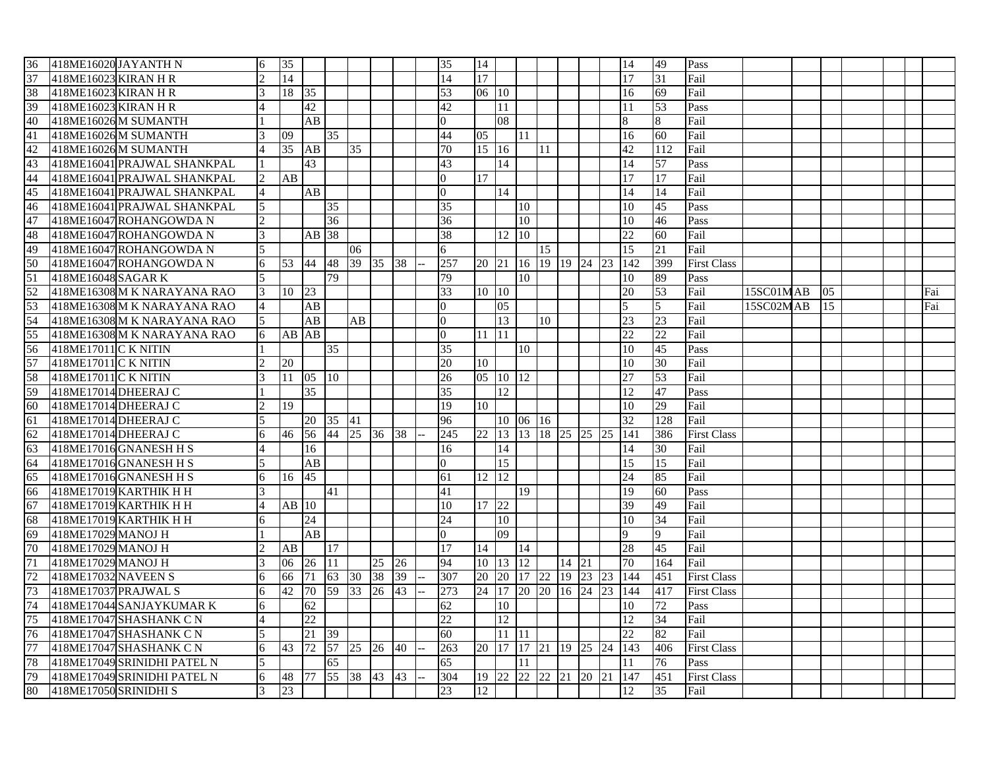| 418ME16020 JAYANTH N<br>36            | 6 | 35    |                    |              |                 |    |    | 35              | 14         |         |          |                                        |       |    |    | 14                       | 49              | Pass               |           |     |  |     |
|---------------------------------------|---|-------|--------------------|--------------|-----------------|----|----|-----------------|------------|---------|----------|----------------------------------------|-------|----|----|--------------------------|-----------------|--------------------|-----------|-----|--|-----|
| 37<br>418ME16023 KIRAN H R            |   | 14    |                    |              |                 |    |    | 14              | 17         |         |          |                                        |       |    |    | 17                       | 31              | Fail               |           |     |  |     |
| 38<br>418ME16023 KIRAN H R            |   | 18    | 35                 |              |                 |    |    | 53              | 06 10      |         |          |                                        |       |    |    | 16                       | 69              | Fail               |           |     |  |     |
| 39<br>418ME16023 KIRAN H R            |   |       | 42                 |              |                 |    |    | 42              |            | 11      |          |                                        |       |    |    | 11                       | 53              | Pass               |           |     |  |     |
| 40<br>418ME16026M SUMANTH             |   |       | AB                 |              |                 |    |    | $\Omega$        |            | 08      |          |                                        |       |    |    | 8                        | 8               | Fail               |           |     |  |     |
| 41<br>418ME16026 M SUMANTH            |   | 09    |                    | 35           |                 |    |    | 44              | 05         |         | 11       |                                        |       |    |    | 16                       | 60              | Fail               |           |     |  |     |
| 42<br>418ME16026 M SUMANTH            |   | 35    | AB                 |              | 35              |    |    | 70              | $15 \, 16$ |         |          | 11                                     |       |    |    | 42                       | 112             | Fail               |           |     |  |     |
| 43<br>418ME16041 PRAJWAL SHANKPAL     |   |       | 43                 |              |                 |    |    | 43              |            | 14      |          |                                        |       |    |    | 14                       | 57              | Pass               |           |     |  |     |
| 44<br>418ME16041 PRAJWAL SHANKPAL     |   | AB    |                    |              |                 |    |    | $\overline{0}$  | 17         |         |          |                                        |       |    |    | 17                       | 17              | Fail               |           |     |  |     |
| 45<br>418ME16041 PRAJWAL SHANKPAL     |   |       | AB                 |              |                 |    |    | $\overline{0}$  |            | 14      |          |                                        |       |    |    | 14                       | 14              | Fail               |           |     |  |     |
| 46<br>418ME16041 PRAJWAL SHANKPAL     | 5 |       |                    | 35           |                 |    |    | 35              |            |         | 10       |                                        |       |    |    | 10                       | 45              | Pass               |           |     |  |     |
| 47<br>418ME16047 ROHANGOWDA N         |   |       |                    | 36           |                 |    |    | 36              |            |         | 10       |                                        |       |    |    | 10                       | 46              | Pass               |           |     |  |     |
| 48<br>418ME16047 ROHANGOWDA N         | 3 |       | AB 38              |              |                 |    |    | $\overline{38}$ |            | 12      | 10       |                                        |       |    |    | 22                       | 60              | Fail               |           |     |  |     |
| 49<br>418ME16047 ROHANGOWDA N         | 5 |       |                    |              | 06              |    |    | 6               |            |         |          | 15                                     |       |    |    | 15                       | 21              | Fail               |           |     |  |     |
| 50<br>418ME16047 ROHANGOWDA N         | 6 | 53    | 44 48 39 35 38     |              |                 |    |    | 257             |            |         |          | 20 21 16 19 19 24 23                   |       |    |    | 142                      | 399             | <b>First Class</b> |           |     |  |     |
| $\overline{51}$<br>418ME16048 SAGAR K |   |       |                    | 79           |                 |    |    | 79              |            |         | 10       |                                        |       |    |    | 10                       | 89              | Pass               |           |     |  |     |
| 52<br>418ME16308 M K NARAYANA RAO     | 3 | 10    | 23                 |              |                 |    |    | 33              | 10 10      |         |          |                                        |       |    |    | 20                       | 53              | Fail               | 15SC01MAB | 105 |  | Fai |
| 53<br>418ME16308 M K NARAYANA RAO     |   |       | AB                 |              |                 |    |    | $\overline{0}$  |            | 05      |          |                                        |       |    |    | $\overline{5}$           | 5               | Fail               | 15SC02MAB | 15  |  | Fai |
| 54<br>418ME16308 M K NARAYANA RAO     |   |       | AB                 |              | $\overline{AB}$ |    |    | $\theta$        |            | 13      |          | 10                                     |       |    |    | 23                       | $\overline{23}$ | Fail               |           |     |  |     |
| 55<br>418ME16308 M K NARAYANA RAO     | 6 | AB AB |                    |              |                 |    |    | $\overline{0}$  | 11 11      |         |          |                                        |       |    |    | 22                       | 22              | Fail               |           |     |  |     |
| 418ME17011 C K NITIN<br>56            |   |       |                    | 35           |                 |    |    | 35              |            |         | 10       |                                        |       |    |    | 10                       | 45              | Pass               |           |     |  |     |
| 57<br>418ME17011 C K NITIN            |   | 20    |                    |              |                 |    |    | 20              | 10         |         |          |                                        |       |    |    | 10                       | 30              | Fail               |           |     |  |     |
| 58<br>418ME17011 C K NITIN            |   | 11    | $05 \overline{10}$ |              |                 |    |    | 26              | 05 10 12   |         |          |                                        |       |    |    | 27                       | 53              | Fail               |           |     |  |     |
| 59<br>418ME17014DHEERAJ C             |   |       | 35                 |              |                 |    |    | 35              |            | 12      |          |                                        |       |    |    | 12                       | 47              | Pass               |           |     |  |     |
| 60<br>418ME17014DHEERAJ C             |   | 19    |                    |              |                 |    |    | 19              | 10         |         |          |                                        |       |    |    | 10                       | 29              | Fail               |           |     |  |     |
| 61                                    |   |       |                    | 20 35 41     |                 |    |    |                 |            |         |          |                                        |       |    |    | $\overline{32}$          |                 | Fail               |           |     |  |     |
| 418ME17014 DHEERAJ C                  |   |       | 56 44 25 36 38     |              |                 |    |    | 96              |            |         | 10 06 16 | 13 18 25 25 25                         |       |    |    |                          | 128             |                    |           |     |  |     |
| 418ME17014 DHEERAJ C<br>62            | 6 | 46    |                    |              |                 |    |    | 245             | 22         | 13      |          |                                        |       |    |    | 141                      | 386             | <b>First Class</b> |           |     |  |     |
| 63<br>418ME17016 GNANESH H S          |   |       | 16                 |              |                 |    |    | 16              |            | 14      |          |                                        |       |    |    | 14                       | 30              | Fail               |           |     |  |     |
| 64<br>418ME17016 GNANESH H S          |   |       | AB                 |              |                 |    |    | $\Omega$        |            | 15      |          |                                        |       |    |    | 15                       | 15              | Fail               |           |     |  |     |
| 418ME17016 GNANESH H S<br>65          | 6 | 16    | 45                 |              |                 |    |    | 61              | 12         | 12      |          |                                        |       |    |    | 24                       | 85              | Fail               |           |     |  |     |
| 418ME17019 KARTHIK H H<br>66          |   |       |                    | 41           |                 |    |    | 41              |            |         | 19       |                                        |       |    |    | 19                       | 60              | Pass               |           |     |  |     |
| 67<br>418ME17019 KARTHIK H H          |   | AB 10 |                    |              |                 |    |    | 10              | 17 22      |         |          |                                        |       |    |    | 39                       | 49              | Fail               |           |     |  |     |
| 418ME17019 KARTHIK H H<br>68          | 6 |       | 24                 |              |                 |    |    | 24              |            | 10      |          |                                        |       |    |    | 10                       | 34              | Fail               |           |     |  |     |
| 69<br>418ME17029 MANOJ H              |   |       | AB                 |              |                 |    |    | $\Omega$        |            | 09      |          |                                        |       |    |    | <sup>Q</sup>             | $\mathbf Q$     | Fail               |           |     |  |     |
| 70<br>418ME17029 MANOJ H              |   | AВ    |                    | 17           |                 |    |    | 17              | 14         |         | 14       |                                        |       |    |    | 28                       | 45              | Fail               |           |     |  |     |
| $\overline{71}$<br>418ME17029 MANOJ H |   | 06    | 26 11              |              |                 | 25 | 26 | 94              |            | 10   13 | 12       |                                        | 14 21 |    |    | 70                       | 164             | Fail               |           |     |  |     |
| 72<br>418ME17032 NAVEEN S             |   | 66    | 71                 | 63 30 38     |                 |    | 39 | 307             |            |         |          |                                        |       |    |    | 20 20 17 22 19 23 23 144 | 451             | <b>First Class</b> |           |     |  |     |
| 73<br>418ME17037 PRAJWAL S            |   | 42    | 70                 | 59 33 26     |                 |    | 43 | 273             | 24 17      |         |          | $\boxed{20}$ $\boxed{20}$ $\boxed{16}$ |       | 24 | 23 | 144                      | 417             | <b>First Class</b> |           |     |  |     |
| 74<br>418ME17044 SANJAYKUMAR K        | 6 |       | 62                 |              |                 |    |    | 62              |            | 10      |          |                                        |       |    |    | 10                       | 72              | Pass               |           |     |  |     |
| 75<br>418ME17047 SHASHANK CN          |   |       | 22                 |              |                 |    |    | 22              |            | 12      |          |                                        |       |    |    | 12                       | 34              | Fail               |           |     |  |     |
| 76<br>418ME17047 SHASHANK C N         | 5 |       | 21                 | $ 39\rangle$ |                 |    |    | 60              |            | 11 11   |          |                                        |       |    |    | 22                       | 82              | Fail               |           |     |  |     |
| 77<br>418ME17047 SHASHANK CN          | 6 | 43    | 72                 | 57 25 26 40  |                 |    |    | 263             | 20 17      |         |          | 17 21 19 25                            |       |    | 24 | 143                      | 406             | <b>First Class</b> |           |     |  |     |
| 78<br>418ME17049 SRINIDHI PATEL N     |   |       |                    | 65           |                 |    |    | 65              |            |         | 11       |                                        |       |    |    | 11                       | 76              | Pass               |           |     |  |     |
| 79<br>418ME17049 SRINIDHI PATEL N     | 6 | 48 77 |                    | 55 38 43     |                 |    | 43 | 304             | 19 22      |         |          | 22 22 21 20 21                         |       |    |    | 147                      | 451             | <b>First Class</b> |           |     |  |     |
| 80<br>418ME17050 SRINIDHI S           | 3 | 23    |                    |              |                 |    |    | 23              | 12         |         |          |                                        |       |    |    | 12                       | 35              | Fail               |           |     |  |     |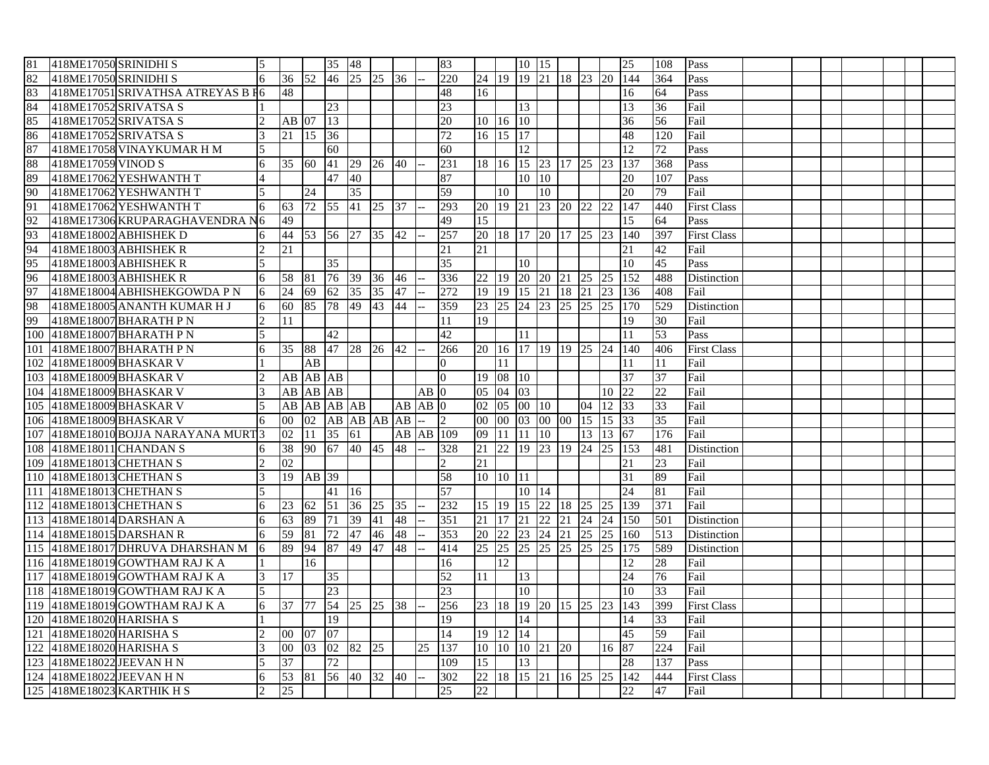| 81  | 418ME17050 SRINIDHI S    |                                   | 5               |                 |                 | 35 48                           |    |                 |    |                   | 83              |              |                | 10 15           |                   |               |                      |           | 25               | 108             | Pass               |  |  |  |  |
|-----|--------------------------|-----------------------------------|-----------------|-----------------|-----------------|---------------------------------|----|-----------------|----|-------------------|-----------------|--------------|----------------|-----------------|-------------------|---------------|----------------------|-----------|------------------|-----------------|--------------------|--|--|--|--|
| 82  | 418ME17050 SRINIDHI S    |                                   | 6               | 36 52           |                 | 46 25                           |    | 25 36           |    |                   | 220             |              |                |                 | 24 19 19 21 18 23 |               |                      |           | 20 144           | 364             | Pass               |  |  |  |  |
| 83  |                          | 418ME17051 SRIVATHSA ATREYAS B F6 |                 | 48              |                 |                                 |    |                 |    |                   | 48              | 16           |                |                 |                   |               |                      |           | 16               | 64              | Pass               |  |  |  |  |
| 84  |                          | 418ME17052 SRIVATSA S             |                 |                 |                 | 23                              |    |                 |    |                   | 23              |              |                | $\overline{13}$ |                   |               |                      |           | 13               | 36              | Fail               |  |  |  |  |
| 85  |                          | 418ME17052 SRIVATSA S             |                 | $AB$ 07         |                 | 13                              |    |                 |    |                   | 20              |              | $10 \ 16 \ 10$ |                 |                   |               |                      |           | 36               | 56              | Fail               |  |  |  |  |
| 86  |                          | 418ME17052 SRIVATSA S             | 3               | 21              | 15              | $\overline{36}$                 |    |                 |    |                   | 72              | 16 15        |                | 17              |                   |               |                      |           | 48               | 120             | Fail               |  |  |  |  |
| 87  |                          | 418ME17058 VINAYKUMAR H M         | 5               |                 |                 | 60                              |    |                 |    |                   | 60              |              |                | 12              |                   |               |                      |           | 12               | 72              | Pass               |  |  |  |  |
| 88  | 418ME17059 VINOD S       |                                   | 6               | 35 60           |                 | 41 29                           |    | 26 40           |    |                   | 231             | 18 16        |                |                 |                   |               | 15 23 17 25 23       |           | 137              | 368             | Pass               |  |  |  |  |
| 89  |                          | 418ME17062 YESHWANTH T            | $\overline{4}$  |                 |                 | $\overline{47}$ $\overline{40}$ |    |                 |    |                   | 87              |              |                | 10              | 10                |               |                      |           | 20               | 107             | Pass               |  |  |  |  |
| 90  |                          | 418ME17062 YESHWANTH T            | 5               |                 | 24              |                                 | 35 |                 |    |                   | 59              |              | 10             |                 | 10                |               |                      |           | 20               | 79              | Fail               |  |  |  |  |
| 91  |                          | 418ME17062 YESHWANTH T            | 6               | 63              |                 | 72 55 41                        |    | 25              | 37 |                   | 293             |              |                |                 |                   |               | 20 19 21 23 20 22 22 |           | $\overline{147}$ | 440             | <b>First Class</b> |  |  |  |  |
| 92  |                          | 418ME17306 KRUPARAGHAVENDRA N6    |                 | 49              |                 |                                 |    |                 |    |                   | 49              | 15           |                |                 |                   |               |                      |           | 15               | 64              | Pass               |  |  |  |  |
| 93  |                          | 418ME18002 ABHISHEK D             | 6               | 44              |                 | 53 56 27                        |    | 35              | 42 |                   | 257             |              |                |                 | 20 18 17 20 17 25 |               |                      | <b>23</b> | 140              | 397             | <b>First Class</b> |  |  |  |  |
| 94  |                          | 418ME18003 ABHISHEK R             |                 | 21              |                 |                                 |    |                 |    |                   | 21              | 21           |                |                 |                   |               |                      |           | 21               | 42              | Fail               |  |  |  |  |
| 95  |                          | 418ME18003 ABHISHEK R             |                 |                 |                 | 35                              |    |                 |    |                   | 35              |              |                | 10              |                   |               |                      |           | 10               | 45              | Pass               |  |  |  |  |
| 96  |                          | 418ME18003 ABHISHEK R             | $6\overline{6}$ | 58              | 81              | 76 39                           |    | $\overline{36}$ | 46 |                   | 336             | 22 19        |                |                 | 20 20 21          |               | 25                   | 25        | $\overline{152}$ | 488             | Distinction        |  |  |  |  |
| 97  |                          | 418ME18004 ABHISHEKGOWDA P N      | 6               | $\overline{24}$ | 69              | 62 35                           |    | $\overline{35}$ | 47 |                   | 272             | 19 19        |                | $\overline{15}$ | 21                | 18            | 21                   | 23        | 136              | 408             | Fail               |  |  |  |  |
| 98  |                          | 418ME18005 ANANTH KUMAR H J       | 6               | 60              | 85              | 78 49                           |    | 43              | 44 |                   | 359             |              |                |                 | 23 25 24 23 25 25 |               |                      |           | 25 170           | 529             | Distinction        |  |  |  |  |
| 99  |                          | 418ME18007 BHARATH PN             | $\overline{2}$  | 11              |                 |                                 |    |                 |    |                   | 11              | 19           |                |                 |                   |               |                      |           | 19               | 30              | Fail               |  |  |  |  |
| 100 |                          | 418ME18007 BHARATH PN             |                 |                 |                 | 42                              |    |                 |    |                   | 42              |              |                | 11              |                   |               |                      |           | 11               | 53              | Pass               |  |  |  |  |
| 101 |                          | 418ME18007 BHARATH PN             | 6               | 35              | 88              | 47 28                           |    | 26              | 42 |                   | 266             |              |                |                 | 20 16 17 19 19 25 |               |                      | 24        | 140              | 406             | <b>First Class</b> |  |  |  |  |
| 102 |                          | 418ME18009 BHASKAR V              |                 |                 | AB              |                                 |    |                 |    |                   | $\Omega$        |              | 11             |                 |                   |               |                      |           | 11               | 11              | Fail               |  |  |  |  |
| 103 |                          | 418ME18009 BHASKAR V              |                 | AB              | AB AB           |                                 |    |                 |    |                   | $\overline{0}$  |              | 19 08 10       |                 |                   |               |                      |           | 37               | $\overline{37}$ | Fail               |  |  |  |  |
|     | 104 418ME18009 BHASKAR V |                                   | 3               |                 |                 | AB AB AB                        |    |                 |    | $AB$ <sup>0</sup> |                 | $05\ 04\ 03$ |                |                 |                   |               |                      | 10        | $\overline{22}$  | 22              | Fail               |  |  |  |  |
| 105 | 418ME18009 BHASKAR V     |                                   | 5               | AB              |                 | AB AB AB                        |    |                 |    | $AB$ $AB$ $0$     |                 | 02 05        |                | 00 10           |                   |               | 04                   | 12 33     |                  | 33              | Fail               |  |  |  |  |
| 106 |                          | 418ME18009 BHASKAR V              | 6               | $00\,$          | 02              |                                 |    | AB AB AB AB     |    |                   | $\vert$ 2       | 00 00        |                | $\overline{03}$ | 00 00 15          |               |                      | 15 33     |                  | $\overline{35}$ | Fail               |  |  |  |  |
| 107 |                          | 418ME18010 BOJJA NARAYANA MURT3   |                 | 02              | 11              | 35 61                           |    |                 |    |                   | AB AB 109       | 09 11        |                | 11              | 10                |               | 13                   | 13 67     |                  | 176             | Fail               |  |  |  |  |
| 108 |                          | 418ME18011 CHANDAN S              | 6               | 38              | 90              | 67 40                           |    | 45              | 48 |                   | 328             | 21 22        |                | $ 19\rangle$    | 23 19 24          |               |                      |           | 25 153           | 481             | <b>Distinction</b> |  |  |  |  |
| 109 |                          | 418ME18013 CHETHAN S              |                 | 02              |                 |                                 |    |                 |    |                   | $\overline{2}$  | 21           |                |                 |                   |               |                      |           | 21               | 23              | Fail               |  |  |  |  |
|     | 110 418ME18013 CHETHAN S |                                   | 3               | 19              | AB 39           |                                 |    |                 |    |                   | 58              |              | 10 10 11       |                 |                   |               |                      |           | 31               | 89              | Fail               |  |  |  |  |
| 111 |                          | 418ME18013 CHETHAN S              | 5               |                 |                 | 41   16                         |    |                 |    |                   | 57              |              |                | 10              | 14                |               |                      |           | $\overline{24}$  | 81              | Fail               |  |  |  |  |
| 112 |                          | 418ME18013 CHETHAN S              | 6               | 23              | 62              | 51 36                           |    | 25              | 35 |                   | 232             | 15 19        |                | 15              | 22 18 25          |               |                      | <b>25</b> | 139              | 371             | Fail               |  |  |  |  |
|     |                          | 113 418ME18014 DARSHAN A          | 6               | 63              | 89              | 71                              | 39 | 41              | 48 |                   | 351             | 21 17        |                | 21              | 22                | 21            |                      |           | 24 24 150        | 501             | Distinction        |  |  |  |  |
| 114 |                          | 418ME18015 DARSHAN R              | 6               | 59              | 81              | 72                              | 47 | 46              | 48 |                   | 353             | 20 22 23     |                |                 | 24 21             |               | 25                   |           | 25 160           | 513             | Distinction        |  |  |  |  |
| 115 |                          | 418ME18017 DHRUVA DHARSHAN M      | 16              | 89              | 94              | 87 49                           |    | 47              | 48 |                   | 414             | 25 25        |                | 25              | 25                | 25            | 25                   | 25        | 175              | 589             | Distinction        |  |  |  |  |
|     |                          | 116 418ME18019 GOWTHAM RAJ K A    | 11.             |                 | 16              |                                 |    |                 |    |                   | 16              |              | 12             |                 |                   |               |                      |           | 12               | 28              | Fail               |  |  |  |  |
| 117 |                          | 418ME18019 GOWTHAM RAJ K A        | 3               | 17              |                 | 35                              |    |                 |    |                   | 52              | 11           |                | 13              |                   |               |                      |           | $\overline{24}$  | 76              | Fail               |  |  |  |  |
| 118 |                          | 418ME18019 GOWTHAM RAJ K A        | 5               |                 |                 | 23                              |    |                 |    |                   | $\overline{23}$ |              |                | 10              |                   |               |                      |           | 10               | 33              | Fail               |  |  |  |  |
|     |                          | 119 418ME18019 GOWTHAM RAJ K A    | 6               | 37              | $\overline{77}$ | 54 25                           |    | $\overline{25}$ | 38 |                   | 256             | 23 18        |                | 19              | 20 15 25          |               |                      | 23        | 143              | 399             | <b>First Class</b> |  |  |  |  |
| 120 | 418ME18020 HARISHA S     |                                   |                 |                 |                 | 19                              |    |                 |    |                   | 19              |              |                | 14              |                   |               |                      |           | 14               | 33              | Fail               |  |  |  |  |
| 121 | 418ME18020 HARISHA S     |                                   | 2               | $00\,$          | 07              | 07                              |    |                 |    |                   | 14              | 19 12        |                | 14              |                   |               |                      |           | 45               | 59              | Fail               |  |  |  |  |
| 122 | 418ME18020 HARISHA S     |                                   | 3               | $00\,$          |                 | 03 02 82                        |    | 25              |    | 25                | 137             | 10 10 10 21  |                |                 |                   | <sup>20</sup> |                      | 16 87     |                  | 224             | Fail               |  |  |  |  |
| 123 |                          | 418ME18022 JEEVAN H N             |                 | $\overline{37}$ |                 | 72                              |    |                 |    |                   | 109             | 15           |                | 13              |                   |               |                      |           | 28               | 137             | Pass               |  |  |  |  |
| 124 |                          | 418ME18022 JEEVAN H N             | 6               | 53              | 81              | 56 40                           |    | 32              | 40 |                   | 302             | 22 18        |                |                 | 15 21 16 25       |               |                      | 25        | $\overline{142}$ | 444             | <b>First Class</b> |  |  |  |  |
|     |                          | 125 418ME18023 KARTHIK H S        |                 | 25              |                 |                                 |    |                 |    |                   | 25              | 22           |                |                 |                   |               |                      |           | 22               | 47              | Fail               |  |  |  |  |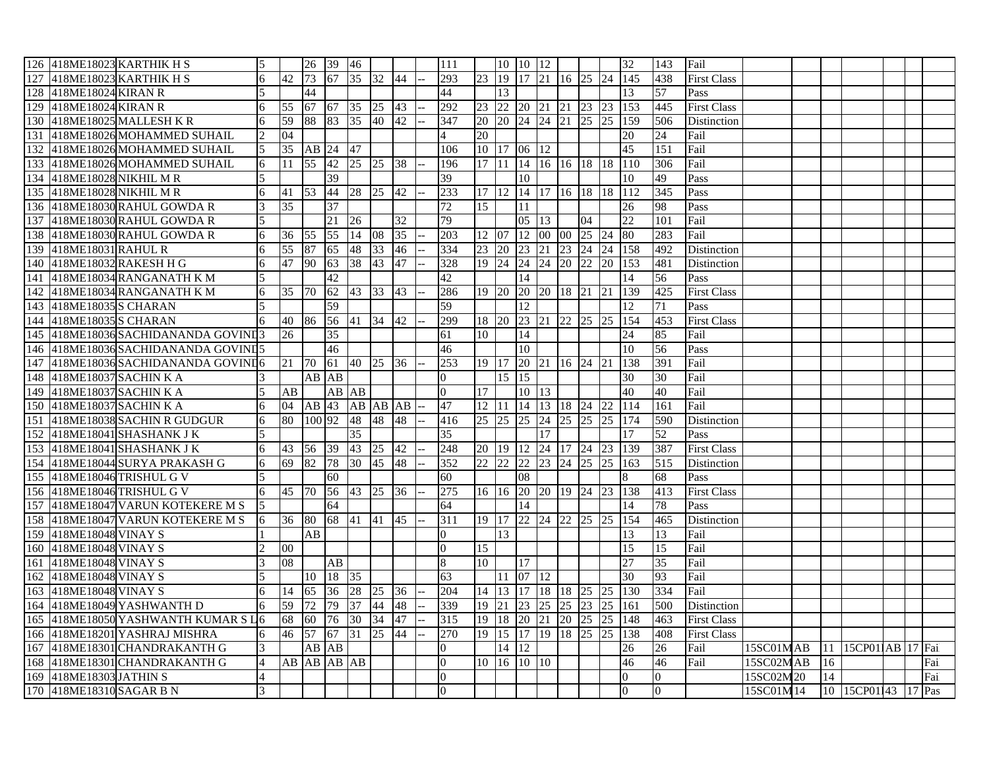|     |                         | 126 418ME18023 KARTHIK H S          | 5              |                 |                 | 26 39 46             |                 |                 |              | 111             |                 |         | 10 10 12                                       |       |                      |    |                 | $\overline{32}$          | 143             | Fail               |           |               |                     |  |     |
|-----|-------------------------|-------------------------------------|----------------|-----------------|-----------------|----------------------|-----------------|-----------------|--------------|-----------------|-----------------|---------|------------------------------------------------|-------|----------------------|----|-----------------|--------------------------|-----------------|--------------------|-----------|---------------|---------------------|--|-----|
| 127 |                         | 418ME18023 KARTHIK H S              | 6              | 42              | 73              | 67 35 32 44          |                 |                 |              | 293             |                 |         |                                                |       |                      |    |                 | 23 19 17 21 16 25 24 145 | 438             | <b>First Class</b> |           |               |                     |  |     |
| 128 | 418ME18024 KIRAN R      |                                     |                |                 | 44              |                      |                 |                 |              | 44              |                 | 13      |                                                |       |                      |    |                 | 13                       | 57              | Pass               |           |               |                     |  |     |
| 129 | 418ME18024 KIRAN R      |                                     | 6              | 55              | 67 67 35        |                      |                 | $\overline{25}$ | $ 43\rangle$ | 292             |                 |         |                                                |       |                      |    |                 | 23 22 20 21 21 23 23 153 | 445             | <b>First Class</b> |           |               |                     |  |     |
| 130 |                         | 418ME18025 MALLESH KR               | 6              | 59              | 88              | 83                   | 35              | 40              | 42           | 347             |                 |         |                                                |       | 20 20 24 24 21 25 25 |    |                 | 159                      | 506             | <b>Distinction</b> |           |               |                     |  |     |
| 131 |                         | 418ME18026 MOHAMMED SUHAIL          | $\overline{2}$ | 04              |                 |                      |                 |                 |              | $\overline{4}$  | 20              |         |                                                |       |                      |    |                 | 20                       | 24              | Fail               |           |               |                     |  |     |
| 132 |                         | 418ME18026 MOHAMMED SUHAIL          | 5              | 35              | AB 24 47        |                      |                 |                 |              | 106             | 10 17 06 12     |         |                                                |       |                      |    |                 | $\overline{45}$          | 151             | Fail               |           |               |                     |  |     |
| 133 |                         | 418ME18026 MOHAMMED SUHAIL          | 6              | 11              | 55 42 25 25     |                      |                 |                 | 38           | 196             |                 |         |                                                |       |                      |    |                 | 17 11 14 16 16 18 18 110 | 306             | Fail               |           |               |                     |  |     |
| 134 |                         | 418ME18028 NIKHIL M R               | 5              |                 |                 | 39                   |                 |                 |              | 39              |                 |         | 10                                             |       |                      |    |                 | 10                       | 49              | Pass               |           |               |                     |  |     |
| 135 |                         | 418ME18028 NIKHIL M R               | 6              | 41              | 53              | 44                   | 28              | $\overline{25}$ | 42           | 233             |                 |         |                                                |       |                      |    |                 | 17 12 14 17 16 18 18 112 | 345             | Pass               |           |               |                     |  |     |
| 136 |                         | 418ME18030 RAHUL GOWDA R            | 3              | 35              |                 | 37                   |                 |                 |              | 72              | 15              |         | 11                                             |       |                      |    |                 | 26                       | 98              | Pass               |           |               |                     |  |     |
|     |                         | 137 418ME18030 RAHUL GOWDA R        | 5              |                 |                 | 21 26                |                 |                 | 32           | 79              |                 |         |                                                | 05 13 |                      | 04 |                 | 22                       | 101             | Fail               |           |               |                     |  |     |
|     |                         | 138 418ME18030 RAHUL GOWDA R        | 6              | $\overline{36}$ | 55              | 55                   | 14              | $ 08\rangle$    | 35           | 203             | 12 07           |         |                                                |       | 12 00 00 25 24       |    |                 | 80                       | 283             | Fail               |           |               |                     |  |     |
| 139 | 418ME18031 RAHUL R      |                                     | 6              | 55              | 87              | 65                   | 48              | $\overline{33}$ | 46           | 334             | 23 20           |         | 23 21                                          |       | 23 24                |    | $\overline{24}$ | 158                      | 492             | Distinction        |           |               |                     |  |     |
|     |                         | 140 418ME18032 RAKESH H G           | $\overline{6}$ | 47              | 90              | 63 38                |                 | 43              | 47           | 328             |                 |         |                                                |       | 19 24 24 24 20 22    |    |                 | 20 153                   | 481             | Distinction        |           |               |                     |  |     |
|     |                         | 141 418ME18034 RANGANATH K M        | 5              |                 |                 | 42                   |                 |                 |              | 42              |                 |         | 14                                             |       |                      |    |                 | 14                       | 56              | Pass               |           |               |                     |  |     |
| 142 |                         | 418ME18034 RANGANATH KM             | 6              | 35              | $\overline{70}$ | 62 43 33             |                 |                 | 43           | 286             | 19 20           |         |                                                |       | 20 20 18 21 21       |    |                 | 139                      | 425             | <b>First Class</b> |           |               |                     |  |     |
|     |                         | 143 418ME18035 S CHARAN             | $\overline{5}$ |                 |                 | 59                   |                 |                 |              | 59              |                 |         | 12                                             |       |                      |    |                 | 12                       | 71              | Pass               |           |               |                     |  |     |
|     |                         | 144 418ME18035 S CHARAN             | 6              | 40              | 86 56 41 34     |                      |                 |                 | 42           | 299             |                 |         |                                                |       | 18 20 23 21 22 25 25 |    |                 | 154                      | 453             | <b>First Class</b> |           |               |                     |  |     |
| 145 |                         | 418ME18036 SACHIDANANDA GOVINI3     |                | 26              |                 | 35                   |                 |                 |              | 61              | 10              |         | 14                                             |       |                      |    |                 | 24                       | 85              | Fail               |           |               |                     |  |     |
|     |                         | 146 418ME18036 SACHIDANANDA GOVINI5 |                |                 |                 | 46                   |                 |                 |              | 46              |                 |         | 10                                             |       |                      |    |                 | 10                       | 56              | Pass               |           |               |                     |  |     |
|     |                         | 147 418ME18036 SACHIDANANDA GOVINI6 |                | 21              | 70              | 61 40 25 36          |                 |                 |              | 253             |                 |         |                                                |       | 19 17 20 21 16 24 21 |    |                 | 138                      | 391             | Fail               |           |               |                     |  |     |
| 148 |                         | 418ME18037 SACHIN K A               |                |                 | AB AB           |                      |                 |                 |              | $\Omega$        |                 | 15 15   |                                                |       |                      |    |                 | 30                       | 30              | Fail               |           |               |                     |  |     |
|     |                         | 149 418ME18037 SACHIN K A           | 5              | AB              |                 | $AB$ $\overline{AB}$ |                 |                 |              | $\overline{0}$  | 17              |         |                                                | 10 13 |                      |    |                 | 40                       | 40              | Fail               |           |               |                     |  |     |
| 150 |                         | 418ME18037 SACHIN K A               | 6              | 04              | AB 43 AB AB AB  |                      |                 |                 |              | 47              | $12 \mid 11$    |         |                                                |       | 14 13 18 24 22       |    |                 | 114                      | 161             | Fail               |           |               |                     |  |     |
| 151 |                         | 418ME18038 SACHIN R GUDGUR          | 6              | 80              | 100 92          |                      | 48              | 48              | 48           | 416             | 25 25           |         | 25                                             |       | 24 25 25             |    | 25              | 174                      | 590             | Distinction        |           |               |                     |  |     |
|     |                         | 152 418ME18041 SHASHANK J K         | 5              |                 |                 |                      | $\overline{35}$ |                 |              | $\overline{35}$ |                 |         |                                                | 17    |                      |    |                 | 17                       | 52              | Pass               |           |               |                     |  |     |
|     |                         | 153 418ME18041 SHASHANK J K         | 6              | 43              | 56 39           |                      | 43 25           |                 | 42           | 248             |                 |         |                                                |       |                      |    |                 | 20 19 12 24 17 24 23 139 | 387             | <b>First Class</b> |           |               |                     |  |     |
| 154 |                         | 418ME18044 SURYA PRAKASH G          | 6              | 69              | 82              | 78                   | 30              | 45              | 48           | 352             | $\overline{22}$ | 22      | 22                                             |       | 23 24 25             |    | 25              | 163                      | 515             | Distinction        |           |               |                     |  |     |
| 155 |                         | 418ME18046 TRISHUL G V              | 5              |                 |                 | 60                   |                 |                 |              | 60              |                 |         | 08                                             |       |                      |    |                 | 8                        | 68              | Pass               |           |               |                     |  |     |
| 156 |                         | 418ME18046 TRISHUL G V              | 6              | 45              | <b>70</b>       | 56                   | 43 25           |                 | 36           | 275             | 16 16           |         |                                                |       | 20 20 19 24 23       |    |                 | 138                      | 413             | <b>First Class</b> |           |               |                     |  |     |
|     |                         | 157 418ME18047 VARUN KOTEKERE M S   | 5              |                 |                 | 64                   |                 |                 |              | 64              |                 |         | 14                                             |       |                      |    |                 | 14                       | 78              | Pass               |           |               |                     |  |     |
|     |                         | 158 418ME18047 VARUN KOTEKERE M S   | 6              | 36              | 80 68 41        |                      |                 | 41              | 45           | 311             |                 |         |                                                |       | 19 17 22 24 22 25 25 |    |                 | 154                      | 465             | Distinction        |           |               |                     |  |     |
| 159 | 418ME18048 VINAY S      |                                     |                |                 | AB              |                      |                 |                 |              | $\Omega$        |                 | 13      |                                                |       |                      |    |                 | 13                       | 13              | Fail               |           |               |                     |  |     |
| 160 | 418ME18048 VINAY S      |                                     |                | $00\,$          |                 |                      |                 |                 |              | $\Omega$        | 15              |         |                                                |       |                      |    |                 | 15                       | 15              | Fail               |           |               |                     |  |     |
|     | 161 418ME18048 VINAY S  |                                     | 3              | 08              |                 | $\overline{AB}$      |                 |                 |              | 8               | 10 <sup>1</sup> |         | 17                                             |       |                      |    |                 | $\overline{27}$          | $\overline{35}$ | Fail               |           |               |                     |  |     |
| 162 | 418ME18048 VINAY S      |                                     |                |                 | 10              | 18 35                |                 |                 |              | 63              |                 |         | 11 07 12                                       |       |                      |    |                 | 30                       | 93              | Fail               |           |               |                     |  |     |
|     | 163 418ME18048 VINAY S  |                                     | 6              | 14              | 65              | 36 28                |                 | 25              | 36           | 204             |                 |         |                                                |       | 14 13 17 18 18 25    |    | 25              | $\overline{130}$         | 334             | Fail               |           |               |                     |  |     |
|     |                         | 164 418ME18049 YASHWANTH D          | 6              | $\overline{59}$ | 72              | 79                   | 37              | 44              | 48           | 339             | 19 21           |         | 23                                             |       | 25 25 23             |    | 25              | 161                      | 500             | Distinction        |           |               |                     |  |     |
| 165 |                         | 418ME18050 YASHWANTH KUMAR S L6     |                | 68              | 60              | 76 30                |                 | $\overline{34}$ | 47           | 315             | 19   18         |         |                                                |       | 20 21 20 25 25       |    |                 | 148                      | 463             | <b>First Class</b> |           |               |                     |  |     |
| 166 |                         | 418ME18201 YASHRAJ MISHRA           | 6              | 46              | 57              | 67 31                |                 | $\overline{25}$ | 44           | 270             |                 |         |                                                |       | 19 15 17 19 18 25    |    | 25              | 138                      | 408             | <b>First Class</b> |           |               |                     |  |     |
|     |                         | 167 418ME18301 CHANDRAKANTH G       | 3              |                 | AB AB           |                      |                 |                 |              | $\Omega$        |                 | 14   12 |                                                |       |                      |    |                 | 26                       | 26              | Fail               | 15SC01MAB |               | 11 15CP011AB 17 Fai |  |     |
| 168 |                         | 418ME18301 CHANDRAKANTH G           | $\overline{4}$ |                 | AB AB AB AB     |                      |                 |                 |              | $\Omega$        |                 |         | $10 \overline{16} \overline{10} \overline{10}$ |       |                      |    |                 | 46                       | 46              | Fail               | 15SC02MAB | <sup>16</sup> |                     |  | Fai |
|     | 169 418ME18303 JATHIN S |                                     | $\overline{4}$ |                 |                 |                      |                 |                 |              | $\overline{0}$  |                 |         |                                                |       |                      |    |                 | $\overline{0}$           | $\overline{0}$  |                    | 15SC02M20 | 14            |                     |  | Fai |
|     |                         | 170 418ME18310 SAGAR B N            |                |                 |                 |                      |                 |                 |              | $\Omega$        |                 |         |                                                |       |                      |    |                 | $\overline{0}$           | $\overline{0}$  |                    | 15SC01M14 |               | 10 15CP01143 17 Pas |  |     |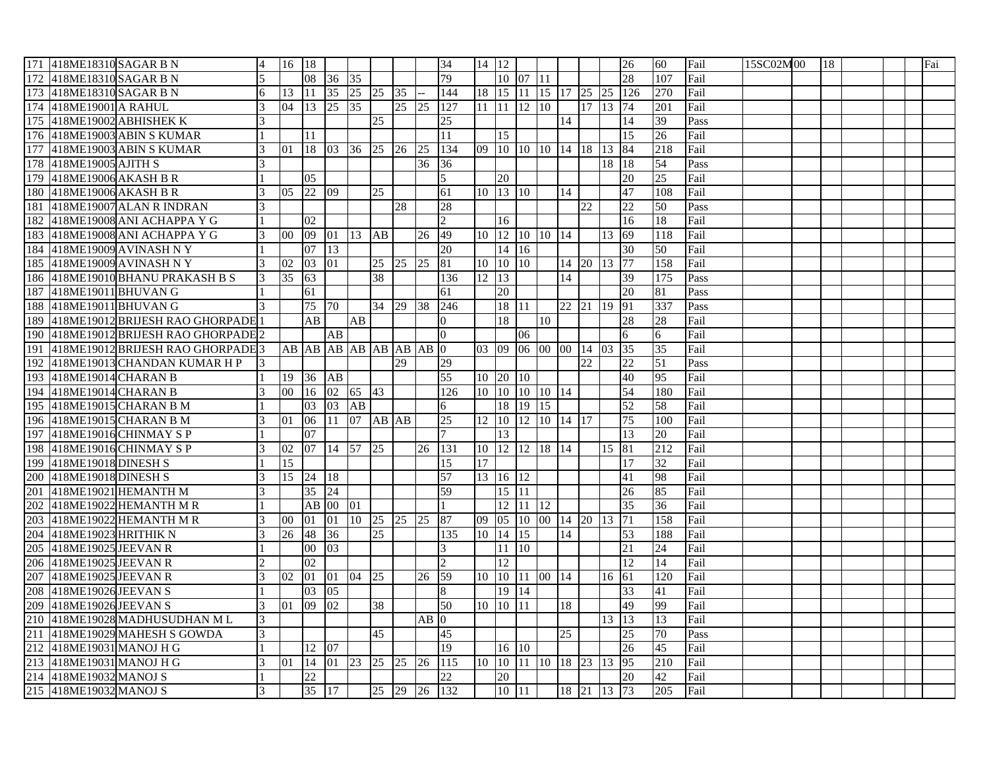|                  | 171 418ME18310 SAGAR B N          | $\overline{4}$ | 16 18 |                           |                     |             |          |                    |                    | 34               | $14 \mid 12$ |                                    |                                 |                   |    |                         |                     | 26                       | 60              | Fail | 15SC02M00 | 18 |  | Fai |
|------------------|-----------------------------------|----------------|-------|---------------------------|---------------------|-------------|----------|--------------------|--------------------|------------------|--------------|------------------------------------|---------------------------------|-------------------|----|-------------------------|---------------------|--------------------------|-----------------|------|-----------|----|--|-----|
| 172              | 418ME18310 SAGAR B N              |                |       |                           | 08 36 35            |             |          |                    |                    | 79               |              |                                    | 10 07 11                        |                   |    |                         |                     | 28                       | 107             | Fail |           |    |  |     |
| 173              | 418ME18310 SAGAR B N              | 6              | 13    |                           | 11 35 25 25 35      |             |          |                    |                    | 144              |              |                                    |                                 |                   |    |                         |                     | 18 15 11 15 17 25 25 126 | 270             | Fail |           |    |  |     |
|                  | 174 418ME19001 A RAHUL            | 3              | 04    |                           | 13 25 35            |             |          | $25 \overline{25}$ |                    | $\overline{127}$ |              |                                    | $11 \quad 11 \quad 12 \quad 10$ |                   |    | 17 13 74                |                     |                          | 201             | Fail |           |    |  |     |
| 175              | 418ME19002 ABHISHEK K             |                |       |                           |                     |             | 25       |                    |                    | 25               |              |                                    |                                 |                   | 14 |                         |                     | 14                       | 39              | Pass |           |    |  |     |
|                  | 176 418ME19003 ABIN S KUMAR       |                |       | 11                        |                     |             |          |                    |                    | 11               |              | 15                                 |                                 |                   |    |                         |                     | $\overline{15}$          | 26              | Fail |           |    |  |     |
| 177              | 418ME19003 ABIN S KUMAR           | 3              | 01    |                           | 18 03 36 25 26 25   |             |          |                    |                    | 134              |              |                                    |                                 |                   |    | 09 10 10 10 14 18 13 84 |                     |                          | 218             | Fail |           |    |  |     |
| 178              | 418ME19005 AJITH S                |                |       |                           |                     |             |          |                    | 36                 | 36               |              |                                    |                                 |                   |    |                         | 18   18             |                          | 54              | Pass |           |    |  |     |
| 179              | 418ME19006 AKASH B R              |                |       | 0 <sub>5</sub>            |                     |             |          |                    |                    | 5                |              | 20                                 |                                 |                   |    |                         |                     | 20                       | 25              | Fail |           |    |  |     |
|                  | 180 418ME19006 AKASH B R          | 3              |       | 05 22 09                  |                     |             | 25       |                    |                    | 61               |              | 10 13 10                           |                                 |                   | 14 |                         |                     | 47                       | 108             | Fail |           |    |  |     |
| 181              | 418ME19007 ALAN R INDRAN          |                |       |                           |                     |             |          | 28                 |                    | 28               |              |                                    |                                 |                   |    | 22                      |                     | 22                       | 50              | Pass |           |    |  |     |
|                  | 182 418ME19008 ANI ACHAPPA Y G    |                |       | $\overline{02}$           |                     |             |          |                    |                    | $\overline{2}$   |              | 16                                 |                                 |                   |    |                         |                     | 16                       | 18              | Fail |           |    |  |     |
|                  | 183 418ME19008 ANI ACHAPPA Y G    | 3              | 00 09 |                           | 01 13 AB            |             |          |                    | 26                 | 49               |              |                                    |                                 | 10 12 10 10 14    |    |                         | 13                  | $\sqrt{69}$              | 118             | Fail |           |    |  |     |
| 184              | 418ME19009 AVINASH N Y            |                |       | 07                        | 13                  |             |          |                    |                    | 20               |              | 14 16                              |                                 |                   |    |                         |                     | 30                       | 50              | Fail |           |    |  |     |
|                  | 185 418ME19009 AVINASH N Y        | 3              | 02    | 03                        | 01                  |             | 25 25 25 |                    |                    | 81               |              | 10 10 10                           |                                 |                   |    | 14 20 13                |                     | 77                       | 158             | Fail |           |    |  |     |
|                  | 186 418ME19010 BHANU PRAKASH B S  | 3              | 35    | 63                        |                     |             | 38       |                    |                    | 136              | 12 13        |                                    |                                 |                   | 14 |                         |                     | 39                       | 175             | Pass |           |    |  |     |
| 187              | 418ME19011 BHUVAN G               |                |       | 61                        |                     |             |          |                    |                    | 61               |              | 20                                 |                                 |                   |    |                         |                     | 20                       | 81              | Pass |           |    |  |     |
|                  | 188 418ME19011 BHUVAN G           | $\mathfrak{Z}$ |       | 75 70                     |                     |             | 34 29 38 |                    |                    | 246              |              | 18 11                              |                                 |                   |    | 22 21 19                |                     | 91                       | 337             | Pass |           |    |  |     |
| 189              | 418ME19012 BRIJESH RAO GHORPADE 1 |                |       | AB                        |                     | AB          |          |                    |                    | $\overline{0}$   |              | 18                                 |                                 | 10                |    |                         |                     | 28                       | 28              | Fail |           |    |  |     |
| 190              | 418ME19012 BRIJESH RAO GHORPADE 2 |                |       |                           | AB                  |             |          |                    |                    | $\overline{0}$   |              |                                    | 06                              |                   |    |                         |                     | 6                        | 6               | Fail |           |    |  |     |
| 191              | 418ME19012 BRIJESH RAO GHORPADE 3 |                |       |                           | AB AB AB AB AB AB 0 |             |          |                    |                    |                  |              |                                    |                                 |                   |    | 03 09 06 00 00 14 03    |                     | 35                       | 35              | Fail |           |    |  |     |
| 192              | 418ME19013 CHANDAN KUMAR H P      | 13             |       |                           |                     |             |          | 29                 |                    | 29               |              |                                    |                                 |                   |    | 22                      |                     | 22                       | 51              | Pass |           |    |  |     |
| 193              | 418ME19014 CHARAN B               |                | 19    | 36                        | AB                  |             |          |                    |                    | 55               |              | 10 20 10                           |                                 |                   |    |                         |                     | 40                       | 95              | Fail |           |    |  |     |
|                  | 194 418ME19014 CHARAN B           | 3              | 00    | 16                        | 02 65 43            |             |          |                    |                    | 126              |              |                                    |                                 | 10 10 10 10 14    |    |                         |                     | 54                       | 180             | Fail |           |    |  |     |
|                  | 195 418ME19015 CHARAN B M         |                |       | 03                        | 03 AB               |             |          |                    |                    | $6\overline{6}$  |              |                                    | 18 19 15                        |                   |    |                         |                     | 52                       | 58              | Fail |           |    |  |     |
| 196              | 418ME19015 CHARAN B M             |                | 01    | 06                        |                     | 11 07 AB AB |          |                    |                    | $\overline{25}$  | 12 10        |                                    |                                 | 12 10 14 17       |    |                         |                     | 75                       | 100             | Fail |           |    |  |     |
| 197              | 418ME19016 CHINMAY S P            |                |       | 07                        |                     |             |          |                    |                    | $\tau$           |              | 13                                 |                                 |                   |    |                         |                     | 13                       | 20              | Fail |           |    |  |     |
|                  | 198 418ME19016 CHINMAY S P        | 3              | 02    |                           | 07 14 57 25         |             |          |                    |                    | 26   131         |              |                                    |                                 | 10 12 12 18 14    |    |                         | 15 81               |                          | 212             | Fail |           |    |  |     |
| 199              | 418ME19018 DINESH S               |                | 15    |                           |                     |             |          |                    |                    | 15               | 17           |                                    |                                 |                   |    |                         |                     | 17                       | $\overline{32}$ | Fail |           |    |  |     |
|                  | 200 418ME19018 DINESH S           | 3              |       | 15 24 18                  |                     |             |          |                    |                    | 57               |              | $13 \overline{)16} \overline{)12}$ |                                 |                   |    |                         |                     | 41                       | 98              | Fail |           |    |  |     |
| 201              | 418ME19021 HEMANTH M              |                |       | $35 \overline{\smash)24}$ |                     |             |          |                    |                    | 59               |              | 15 11                              |                                 |                   |    |                         |                     | 26                       | 85              | Fail |           |    |  |     |
| 202              | 418ME19022 HEMANTH M R            |                |       |                           | AB 00 01            |             |          |                    |                    | $\mathbf{1}$     |              |                                    | 12 11 12                        |                   |    |                         |                     | 35                       | 36              | Fail |           |    |  |     |
| 203              | 418ME19022 HEMANTH M R            | 3              | 00    | 01                        | 01 10 25 25 25      |             |          |                    |                    | 87               |              |                                    |                                 |                   |    | 09 05 10 00 14 20 13    |                     | $\overline{71}$          | 158             | Fail |           |    |  |     |
|                  | 204 418ME19023 HRITHIK N          | 3              | 26    | 48 36                     |                     |             | 25       |                    |                    | 135              |              | 10 14 15                           |                                 |                   | 14 |                         |                     | 53                       | 188             | Fail |           |    |  |     |
| 205              | 418ME19025 JEEVAN R               |                |       | $00\,$                    | 03                  |             |          |                    |                    | 3                |              | 11 10                              |                                 |                   |    |                         |                     | 21                       | $\overline{24}$ | Fail |           |    |  |     |
|                  | 206 418ME19025 JEEVAN R           |                |       | $\overline{02}$           |                     |             |          |                    |                    |                  |              | 12                                 |                                 |                   |    |                         |                     | $\overline{12}$          | 14              | Fail |           |    |  |     |
| 207              | 418ME19025 JEEVAN R               | 3              | 02    | $ 01\rangle$              | 01 04 25            |             |          |                    | $26 \overline{59}$ |                  |              |                                    |                                 | 10 10 11 00 14    |    |                         | 16 61               |                          | 120             | Fail |           |    |  |     |
| 208              | 418ME19026 JEEVAN S               |                |       | 03                        | 05                  |             |          |                    |                    | 8                |              | 19 14                              |                                 |                   |    |                         |                     | 33                       | 41              | Fail |           |    |  |     |
| 209              | 418ME19026 JEEVAN S               | 3              | 01    | 09                        | 02                  |             | 38       |                    |                    | 50               |              | 10 10 11                           |                                 |                   | 18 |                         |                     | 49                       | 99              | Fail |           |    |  |     |
| 210              | 418ME19028 MADHUSUDHAN ML         |                |       |                           |                     |             |          |                    | $AB$ 0             |                  |              |                                    |                                 |                   |    |                         | 13 13               |                          | 13              | Fail |           |    |  |     |
| 211              | 418ME19029 MAHESH S GOWDA         | 3              |       |                           |                     |             | 45       |                    |                    | 45               |              |                                    |                                 |                   | 25 |                         |                     | 25                       | 70              | Pass |           |    |  |     |
| 212              | 418ME19031 MANOJ H G              |                |       | 12                        | 07                  |             |          |                    |                    | 19               |              | 16 10                              |                                 |                   |    |                         |                     | 26                       | 45              | Fail |           |    |  |     |
| $\overline{2}13$ | 418ME19031 MANOJ H G              | $\mathcal{F}$  | 01    | 14                        | 01 23 25 25 26 115  |             |          |                    |                    |                  |              |                                    |                                 | 10 10 11 10 18 23 |    |                         | $13 \overline{)95}$ |                          | 210             | Fail |           |    |  |     |
|                  | 214 418ME19032 MANOJ S            |                |       | 22                        |                     |             |          |                    |                    | 22               |              | 20                                 |                                 |                   |    |                         |                     | 20                       | 42              | Fail |           |    |  |     |
|                  | 215 418ME19032 MANOJ S            | $\mathfrak{Z}$ |       |                           | 35 17               |             |          |                    |                    | 25 29 26 132     |              |                                    | 10 11                           |                   |    | 18 21 13 73             |                     |                          | 205             | Fail |           |    |  |     |
|                  |                                   |                |       |                           |                     |             |          |                    |                    |                  |              |                                    |                                 |                   |    |                         |                     |                          |                 |      |           |    |  |     |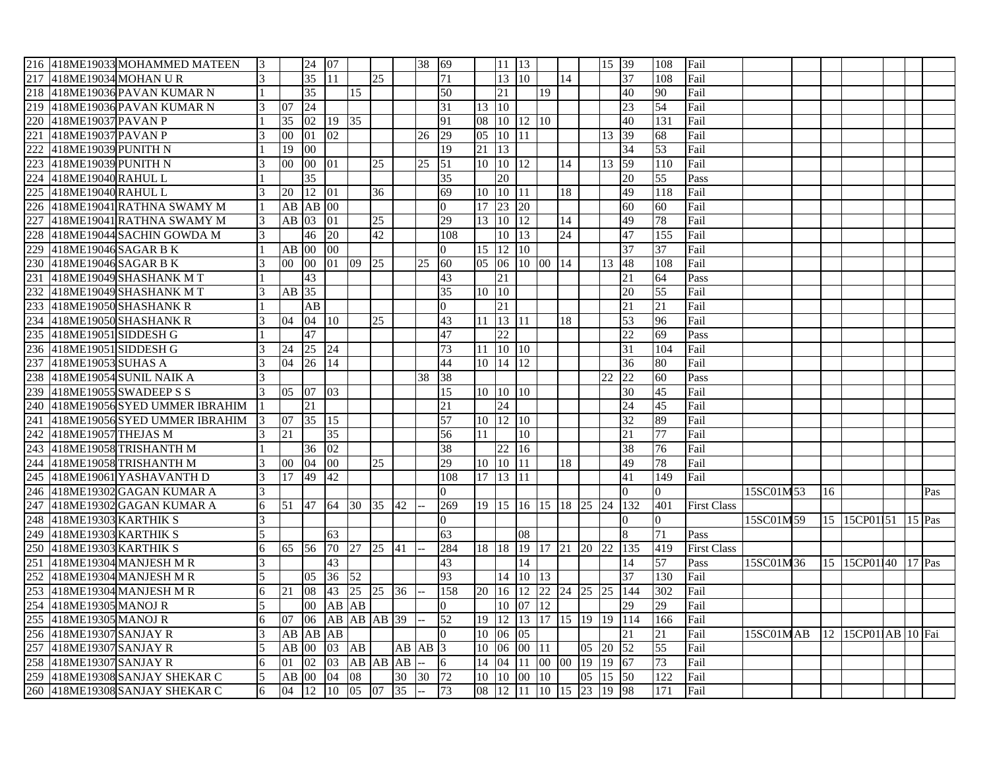|                   |                          | 216 418ME19033 MOHAMMED MATEEN | 13                       |                 | 24 07           |             |    |                 |             | 38 69    |                 |               | 11 13        |                      |          |                 |    | 15 39 |                    | 108             | Fail               |           |               |                     |          |     |
|-------------------|--------------------------|--------------------------------|--------------------------|-----------------|-----------------|-------------|----|-----------------|-------------|----------|-----------------|---------------|--------------|----------------------|----------|-----------------|----|-------|--------------------|-----------------|--------------------|-----------|---------------|---------------------|----------|-----|
| 217               |                          | 418ME19034 MOHAN UR            |                          |                 | 35              | 11          |    | 25              |             |          | 71              |               | $13 \,   10$ |                      |          | 14              |    |       | 37                 | 108             | Fail               |           |               |                     |          |     |
| 218               |                          | 418ME19036 PAVAN KUMAR N       |                          |                 | $\overline{35}$ |             | 15 |                 |             |          | 50              |               | 21           |                      | 19       |                 |    |       | 40                 | 90              | Fail               |           |               |                     |          |     |
| 219               |                          | 418ME19036 PAVAN KUMAR N       |                          | 07              | $\overline{24}$ |             |    |                 |             |          | $\overline{31}$ | 13 10         |              |                      |          |                 |    |       | $\overline{23}$    | 54              | Fail               |           |               |                     |          |     |
| 220               | 418ME19037 PAVAN P       |                                |                          | 35              | 02              | 19 35       |    |                 |             |          | 91              |               |              | 08 10 12 10          |          |                 |    |       | 40                 | 131             | Fail               |           |               |                     |          |     |
| 221               | 418ME19037 PAVAN P       |                                |                          | $00\,$          | 01 02           |             |    |                 |             | 26       | 29              | 05 10         |              | 11                   |          |                 |    | 13 39 |                    | 68              | Fail               |           |               |                     |          |     |
| 222               | 418ME19039 PUNITH N      |                                |                          | 19              | 00              |             |    |                 |             |          | 19              | 21 13         |              |                      |          |                 |    |       | 34                 | 53              | Fail               |           |               |                     |          |     |
| 223               | 418ME19039 PUNITH N      |                                |                          | 00              | 00 01           |             |    | 25              |             | 25       | 51              | 10 10         |              | 12                   |          | 14              |    | 13 59 |                    | 110             | Fail               |           |               |                     |          |     |
| 224               | 418ME19040 RAHUL L       |                                |                          |                 | $\overline{35}$ |             |    |                 |             |          | $\overline{35}$ |               | 20           |                      |          |                 |    |       | 20                 | 55              | Pass               |           |               |                     |          |     |
| 225               | 418ME19040 RAHUL L       |                                |                          | 20              | 12 01           |             |    | 36              |             |          | 69              |               | 10 10 11     |                      |          | 18              |    |       | 49                 | 118             | Fail               |           |               |                     |          |     |
| 226               |                          | 418ME19041 RATHNA SWAMY M      |                          | AB              | $AB$ 00         |             |    |                 |             |          | $\Omega$        | 17 23         |              | 20                   |          |                 |    |       | 60                 | 60              | Fail               |           |               |                     |          |     |
| 227               |                          | 418ME19041 RATHNA SWAMY M      | 3                        | AB              | 03 01           |             |    | 25              |             |          | 29              |               | 13 10 12     |                      |          | 14              |    |       | 49                 | 78              | Fail               |           |               |                     |          |     |
| 228               |                          | 418ME19044 SACHIN GOWDA M      |                          |                 | $\overline{46}$ | 20          |    | 42              |             |          | 108             |               | 10 13        |                      |          | $\overline{24}$ |    |       | 47                 | 155             | Fail               |           |               |                     |          |     |
| 229               | 418ME19046 SAGAR B K     |                                |                          |                 | AB 00 00        |             |    |                 |             |          | $\Omega$        | 15 12         |              | $ 10\rangle$         |          |                 |    |       | $\overline{37}$    | 37              | Fail               |           |               |                     |          |     |
|                   | 230 418ME19046 SAGAR B K |                                |                          | 00              |                 | 00 01 09    |    | 25              |             | 25       | 60              | 05 06         |              | 10 00 14             |          |                 |    | 13 48 |                    | 108             | Fail               |           |               |                     |          |     |
| 231               |                          | 418ME19049 SHASHANK MT         |                          |                 | 43              |             |    |                 |             |          | 43              |               | 21           |                      |          |                 |    |       | 21                 | 64              | Pass               |           |               |                     |          |     |
| 232               |                          | 418ME19049 SHASHANK MT         |                          | AB 35           |                 |             |    |                 |             |          | 35              | 10 10         |              |                      |          |                 |    |       | 20                 | 55              | Fail               |           |               |                     |          |     |
| 233               |                          | 418ME19050 SHASHANK R          |                          |                 | AB              |             |    |                 |             |          | $\Omega$        |               | 21           |                      |          |                 |    |       | 21                 | $\overline{21}$ | Fail               |           |               |                     |          |     |
| 234               |                          | 418ME19050 SHASHANK R          |                          | 04              | 04 10           |             |    | 25              |             |          | 43              |               | 11 13 11     |                      |          | 18              |    |       | 53                 | 96              | Fail               |           |               |                     |          |     |
| 235               | 418ME19051SIDDESHG       |                                |                          |                 | 47              |             |    |                 |             |          | 47              |               | 22           |                      |          |                 |    |       | 22                 | 69              | Pass               |           |               |                     |          |     |
| 236               | 418ME19051 SIDDESH G     |                                |                          | 24              | 25              | 24          |    |                 |             |          | 73              |               | 11 10 10     |                      |          |                 |    |       | 31                 | 104             | Fail               |           |               |                     |          |     |
|                   | 237 418ME19053 SUHAS A   |                                | $\vert$ 3                | 04              | 26              | 14          |    |                 |             |          | 44              |               | 10 14 12     |                      |          |                 |    |       | 36                 | 80              | Fail               |           |               |                     |          |     |
| 238               |                          | 418ME19054 SUNIL NAIK A        |                          |                 |                 |             |    |                 |             | 38       | 38              |               |              |                      |          |                 |    |       | 22                 | 60              | Pass               |           |               |                     |          |     |
| 239               |                          | 418ME19055 SWADEEP S S         |                          | 05              | 07              | 03          |    |                 |             |          | 15              |               | 10 10 10     |                      |          |                 |    |       | $\overline{30}$    | 45              | Fail               |           |               |                     |          |     |
| 240               |                          | 418ME19056 SYED UMMER IBRAHIM  |                          |                 | 21              |             |    |                 |             |          | 21              |               | 24           |                      |          |                 |    |       | $\overline{24}$    | 45              | Fail               |           |               |                     |          |     |
| 241               |                          | 418ME19056 SYED UMMER IBRAHIM  | 13                       | 07              | 35 15           |             |    |                 |             |          | $\overline{57}$ |               | 10 12 10     |                      |          |                 |    |       | 32                 | 89              | Fail               |           |               |                     |          |     |
| 242               | 418ME19057 THEJAS M      |                                |                          | 21              |                 | 35          |    |                 |             |          | 56              | 11            |              | 10                   |          |                 |    |       | 21                 | 77              | Fail               |           |               |                     |          |     |
| $\overline{2}$ 43 |                          | 418ME19058 TRISHANTH M         |                          |                 | 36 02           |             |    |                 |             |          | 38              |               | 22 16        |                      |          |                 |    |       | 38                 | 76              | Fail               |           |               |                     |          |     |
| 244               |                          | 418ME19058 TRISHANTH M         |                          | 00 <sup>1</sup> | 04              | $00\,$      |    | 25              |             |          | 29              | 10 10         |              | $\overline{11}$      |          | $18\,$          |    |       | 49                 | 78              | Fail               |           |               |                     |          |     |
| 245               |                          | 418ME19061 YASHAVANTH D        | 3                        | 17              | 49              | 42          |    |                 |             |          | 108             |               | 17 13 11     |                      |          |                 |    |       | 41                 | 149             | Fail               |           |               |                     |          |     |
| 246               |                          | 418ME19302 GAGAN KUMAR A       | 3                        |                 |                 |             |    |                 |             |          | $\Omega$        |               |              |                      |          |                 |    |       | $\Omega$           | $\Omega$        |                    | 15SC01M53 | <sup>16</sup> |                     |          | Pas |
| 247               |                          | 418ME19302 GAGAN KUMAR A       | 6                        | 51              | <b>47</b>       | 64          | 30 | $\overline{35}$ | 42          |          | 269             |               |              | 19 15 16 15 18 25 24 |          |                 |    |       | 132                | 401             | <b>First Class</b> |           |               |                     |          |     |
| 248               | 418ME19303 KARTHIK S     |                                | 3                        |                 |                 |             |    |                 |             |          | $\Omega$        |               |              |                      |          |                 |    |       | $\Omega$           | $\overline{0}$  |                    | 15SC01M59 |               | 15 15CP01151        | $15$ Pas |     |
| 249               | 418ME19303 KARTHIK S     |                                | $\overline{\phantom{0}}$ |                 |                 | 63          |    |                 |             |          | 63              |               |              | 08                   |          |                 |    |       | 8                  | 71              | Pass               |           |               |                     |          |     |
| 250               | 418ME19303 KARTHIK S     |                                | 6                        | 65              | 56              | 70          | 27 | 25              | 41          |          | 284             | 18   18       |              | 19                   | 17 21    |                 | 20 | 22.   | 135                | 419             | <b>First Class</b> |           |               |                     |          |     |
| 251               |                          | 418ME19304 MANJESH M R         |                          |                 |                 | 43          |    |                 |             |          | 43              |               |              | 14                   |          |                 |    |       | 14                 | 57              | Pass               | 15SC01M36 |               | 15 15CP01140 17 Pas |          |     |
| 252               |                          | 418ME19304 MANJESH M R         |                          |                 | 0.5             | 36 52       |    |                 |             |          | 93              |               |              | $14 \,   10 \,  $    | 13       |                 |    |       | 37                 | 130             | Fail               |           |               |                     |          |     |
| 253               |                          | 418ME19304 MANJESH MR          | 6                        | 21              | 08              |             |    | 43 25 25 36     |             |          | 158             | $20\sqrt{16}$ |              | 12                   | 22 24 25 |                 |    | 25    | 144                | 302             | Fail               |           |               |                     |          |     |
| 254               | 418ME19305 MANOJ R       |                                | 5                        |                 | $00\,$          | AB AB       |    |                 |             |          | $\Omega$        |               | 10           | 07                   | 12       |                 |    |       | 29                 | 29              | Fail               |           |               |                     |          |     |
| 255               | 418ME19305 MANOJ R       |                                | 6                        | 07              | 06              | AB AB AB 39 |    |                 |             |          | 52              | $19 \vert 12$ |              |                      |          |                 |    |       | 13 17 15 19 19 114 | 166             | Fail               |           |               |                     |          |     |
| 256               | 418ME19307 SANJAY R      |                                |                          | AB              | AB AB           |             |    |                 |             |          | $\Omega$        | 10 06         |              | 05                   |          |                 |    |       | 21                 | $\overline{21}$ | Fail               | 15SC01MAB |               | 12 15CP011AB 10 Fai |          |     |
| 257               | 418ME19307 SANJAY R      |                                | 5                        | $AB$ 00         |                 | 03 AB       |    |                 | $AB$ $AB$ 3 |          |                 | 10 06         |              | 00 11                |          |                 | 05 | 20 52 |                    | 55              | Fail               |           |               |                     |          |     |
| 258               | 418ME19307 SANJAY R      |                                | 6                        | 01              | 02              | 03 AB AB AB |    |                 |             |          | 6               | 14 04         |              | 11                   | 00 00    |                 | 19 | 19 67 |                    | 73              | Fail               |           |               |                     |          |     |
|                   |                          |                                |                          |                 |                 |             |    |                 |             |          |                 |               |              |                      |          |                 |    |       |                    |                 |                    |           |               |                     |          |     |
| 259               |                          | 418ME19308 SANJAY SHEKAR C     | 5                        | AB              | $00\,$          | 04          | 08 |                 |             | 30 30 72 |                 | 10 10         |              | $00\,$               | 10       |                 | 05 | 15 50 |                    | 122             | Fail               |           |               |                     |          |     |